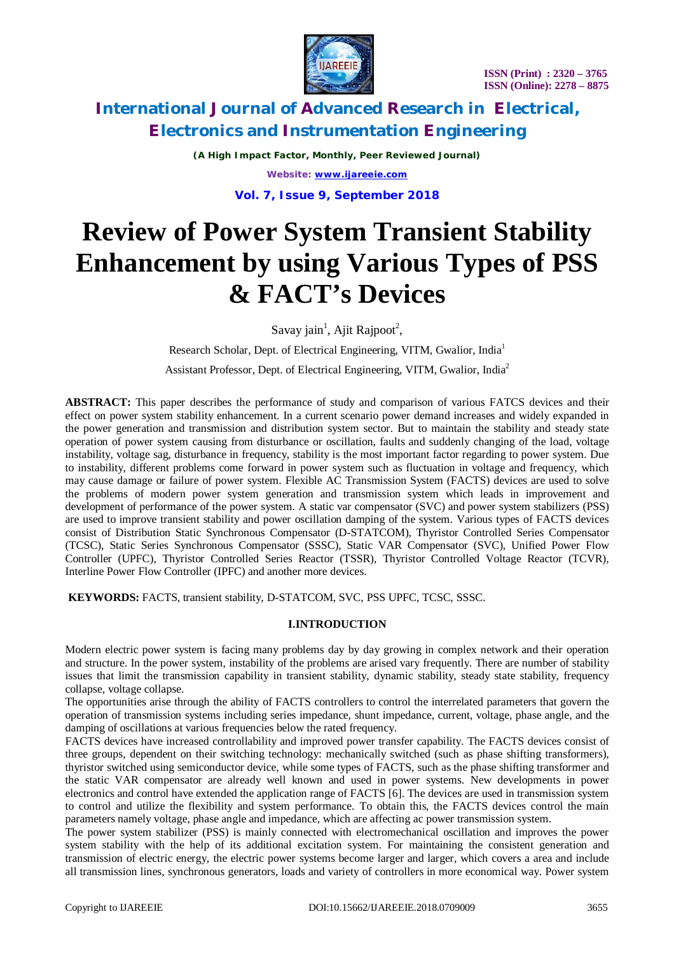



*(A High Impact Factor, Monthly, Peer Reviewed Journal) Website: [www.ijareeie.com](http://www.ijareeie.com)*

**Vol. 7, Issue 9, September 2018**

# **Review of Power System Transient Stability Enhancement by using Various Types of PSS & FACT's Devices**

Savay jain<sup>1</sup>, Ajit Rajpoot<sup>2</sup>,

Research Scholar, Dept. of Electrical Engineering, VITM, Gwalior, India<sup>1</sup>

Assistant Professor, Dept. of Electrical Engineering, VITM, Gwalior, India<sup>2</sup>

**ABSTRACT:** This paper describes the performance of study and comparison of various FATCS devices and their effect on power system stability enhancement. In a current scenario power demand increases and widely expanded in the power generation and transmission and distribution system sector. But to maintain the stability and steady state operation of power system causing from disturbance or oscillation, faults and suddenly changing of the load, voltage instability, voltage sag, disturbance in frequency, stability is the most important factor regarding to power system. Due to instability, different problems come forward in power system such as fluctuation in voltage and frequency, which may cause damage or failure of power system. Flexible AC Transmission System (FACTS) devices are used to solve the problems of modern power system generation and transmission system which leads in improvement and development of performance of the power system. A static var compensator (SVC) and power system stabilizers (PSS) are used to improve transient stability and power oscillation damping of the system. Various types of FACTS devices consist of Distribution Static Synchronous Compensator (D-STATCOM), Thyristor Controlled Series Compensator (TCSC), Static Series Synchronous Compensator (SSSC), Static VAR Compensator (SVC), Unified Power Flow Controller (UPFC), Thyristor Controlled Series Reactor (TSSR), Thyristor Controlled Voltage Reactor (TCVR), Interline Power Flow Controller (IPFC) and another more devices.

**KEYWORDS:** FACTS, transient stability, D-STATCOM, SVC, PSS UPFC, TCSC, SSSC.

### **I.INTRODUCTION**

Modern electric power system is facing many problems day by day growing in complex network and their operation and structure. In the power system, instability of the problems are arised vary frequently. There are number of stability issues that limit the transmission capability in transient stability, dynamic stability, steady state stability, frequency collapse, voltage collapse.

The opportunities arise through the ability of FACTS controllers to control the interrelated parameters that govern the operation of transmission systems including series impedance, shunt impedance, current, voltage, phase angle, and the damping of oscillations at various frequencies below the rated frequency.

FACTS devices have increased controllability and improved power transfer capability. The FACTS devices consist of three groups, dependent on their switching technology: mechanically switched (such as phase shifting transformers), thyristor switched using semiconductor device, while some types of FACTS, such as the phase shifting transformer and the static VAR compensator are already well known and used in power systems. New developments in power electronics and control have extended the application range of FACTS [6]. The devices are used in transmission system to control and utilize the flexibility and system performance. To obtain this, the FACTS devices control the main parameters namely voltage, phase angle and impedance, which are affecting ac power transmission system.

The power system stabilizer (PSS) is mainly connected with electromechanical oscillation and improves the power system stability with the help of its additional excitation system. For maintaining the consistent generation and transmission of electric energy, the electric power systems become larger and larger, which covers a area and include all transmission lines, synchronous generators, loads and variety of controllers in more economical way. Power system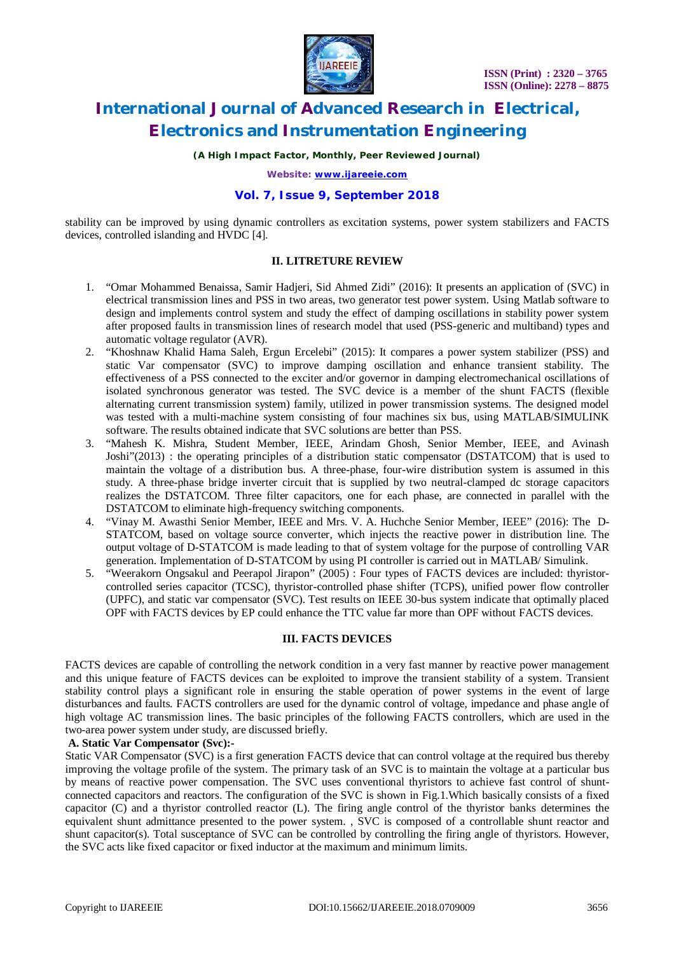

*(A High Impact Factor, Monthly, Peer Reviewed Journal)*

*Website: [www.ijareeie.com](http://www.ijareeie.com)*

### **Vol. 7, Issue 9, September 2018**

stability can be improved by using dynamic controllers as excitation systems, power system stabilizers and FACTS devices, controlled islanding and HVDC [4].

### **II. LITRETURE REVIEW**

- 1. "Omar Mohammed Benaissa, Samir Hadjeri, Sid Ahmed Zidi" (2016): It presents an application of (SVC) in electrical transmission lines and PSS in two areas, two generator test power system. Using Matlab software to design and implements control system and study the effect of damping oscillations in stability power system after proposed faults in transmission lines of research model that used (PSS-generic and multiband) types and automatic voltage regulator (AVR).
- 2. "Khoshnaw Khalid Hama Saleh, Ergun Ercelebi" (2015): It compares a power system stabilizer (PSS) and static Var compensator (SVC) to improve damping oscillation and enhance transient stability. The effectiveness of a PSS connected to the exciter and/or governor in damping electromechanical oscillations of isolated synchronous generator was tested. The SVC device is a member of the shunt FACTS (flexible alternating current transmission system) family, utilized in power transmission systems. The designed model was tested with a multi-machine system consisting of four machines six bus, using MATLAB/SIMULINK software. The results obtained indicate that SVC solutions are better than PSS.
- 3. "Mahesh K. Mishra, Student Member, IEEE, Arindam Ghosh, Senior Member, IEEE, and Avinash Joshi"(2013) : the operating principles of a distribution static compensator (DSTATCOM) that is used to maintain the voltage of a distribution bus. A three-phase, four-wire distribution system is assumed in this study. A three-phase bridge inverter circuit that is supplied by two neutral-clamped dc storage capacitors realizes the DSTATCOM. Three filter capacitors, one for each phase, are connected in parallel with the DSTATCOM to eliminate high-frequency switching components.
- 4. "Vinay M. Awasthi Senior Member, IEEE and Mrs. V. A. Huchche Senior Member, IEEE" (2016): The D-STATCOM, based on voltage source converter, which injects the reactive power in distribution line. The output voltage of D-STATCOM is made leading to that of system voltage for the purpose of controlling VAR generation. Implementation of D-STATCOM by using PI controller is carried out in MATLAB/ Simulink.
- 5. "Weerakorn Ongsakul and Peerapol Jirapon" (2005) : Four types of FACTS devices are included: thyristorcontrolled series capacitor (TCSC), thyristor-controlled phase shifter (TCPS), unified power flow controller (UPFC), and static var compensator (SVC). Test results on IEEE 30-bus system indicate that optimally placed OPF with FACTS devices by EP could enhance the TTC value far more than OPF without FACTS devices.

### **III. FACTS DEVICES**

FACTS devices are capable of controlling the network condition in a very fast manner by reactive power management and this unique feature of FACTS devices can be exploited to improve the transient stability of a system. Transient stability control plays a significant role in ensuring the stable operation of power systems in the event of large disturbances and faults. FACTS controllers are used for the dynamic control of voltage, impedance and phase angle of high voltage AC transmission lines. The basic principles of the following FACTS controllers, which are used in the two-area power system under study, are discussed briefly.

### **A. Static Var Compensator (Svc):-**

Static VAR Compensator (SVC) is a first generation FACTS device that can control voltage at the required bus thereby improving the voltage profile of the system. The primary task of an SVC is to maintain the voltage at a particular bus by means of reactive power compensation. The SVC uses conventional thyristors to achieve fast control of shuntconnected capacitors and reactors. The configuration of the SVC is shown in Fig.1.Which basically consists of a fixed capacitor (C) and a thyristor controlled reactor (L). The firing angle control of the thyristor banks determines the equivalent shunt admittance presented to the power system. , SVC is composed of a controllable shunt reactor and shunt capacitor(s). Total susceptance of SVC can be controlled by controlling the firing angle of thyristors. However, the SVC acts like fixed capacitor or fixed inductor at the maximum and minimum limits.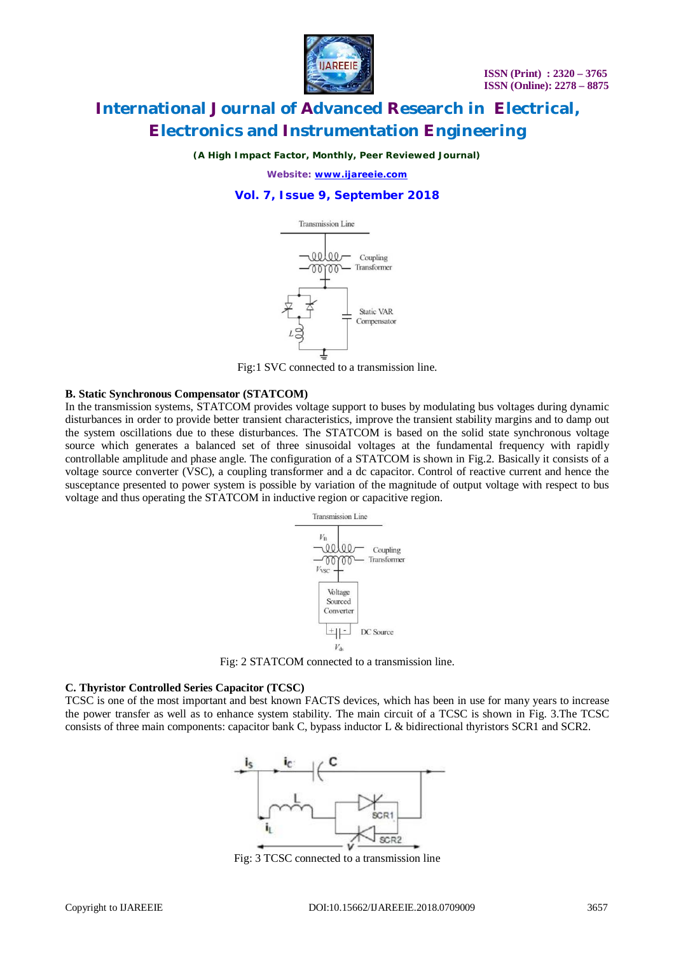

*(A High Impact Factor, Monthly, Peer Reviewed Journal)*

*Website: [www.ijareeie.com](http://www.ijareeie.com)*

### **Vol. 7, Issue 9, September 2018**



Fig:1 SVC connected to a transmission line.

#### **B. Static Synchronous Compensator (STATCOM)**

In the transmission systems, STATCOM provides voltage support to buses by modulating bus voltages during dynamic disturbances in order to provide better transient characteristics, improve the transient stability margins and to damp out the system oscillations due to these disturbances. The STATCOM is based on the solid state synchronous voltage source which generates a balanced set of three sinusoidal voltages at the fundamental frequency with rapidly controllable amplitude and phase angle. The configuration of a STATCOM is shown in Fig.2. Basically it consists of a voltage source converter (VSC), a coupling transformer and a dc capacitor. Control of reactive current and hence the susceptance presented to power system is possible by variation of the magnitude of output voltage with respect to bus voltage and thus operating the STATCOM in inductive region or capacitive region.



Fig: 2 STATCOM connected to a transmission line.

#### **C. Thyristor Controlled Series Capacitor (TCSC)**

TCSC is one of the most important and best known FACTS devices, which has been in use for many years to increase the power transfer as well as to enhance system stability. The main circuit of a TCSC is shown in Fig. 3.The TCSC consists of three main components: capacitor bank C, bypass inductor L & bidirectional thyristors SCR1 and SCR2.



Fig: 3 TCSC connected to a transmission line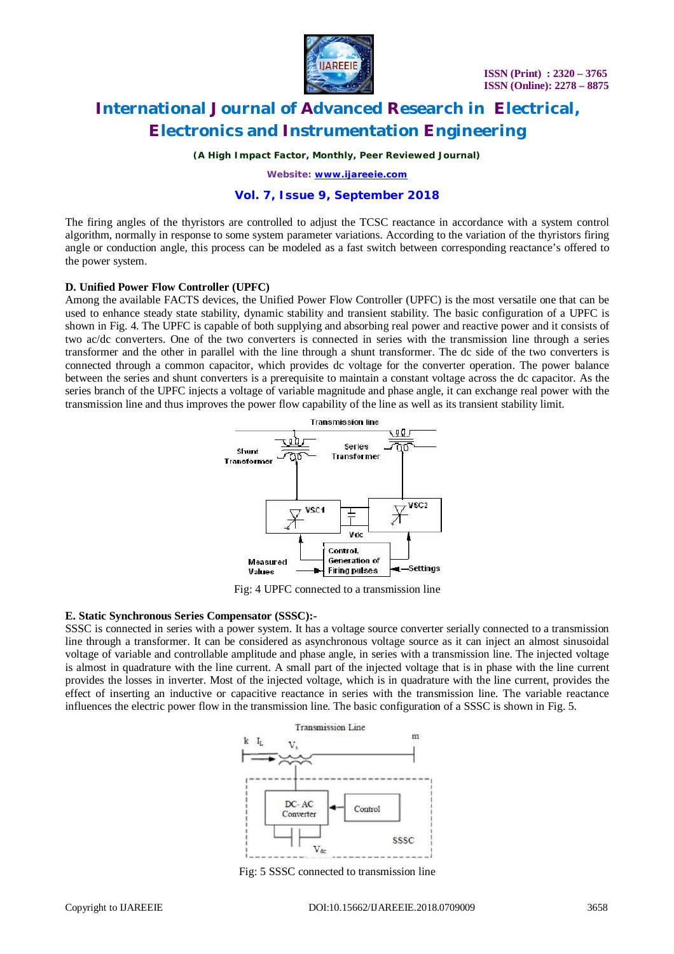

*(A High Impact Factor, Monthly, Peer Reviewed Journal)*

*Website: [www.ijareeie.com](http://www.ijareeie.com)*

### **Vol. 7, Issue 9, September 2018**

The firing angles of the thyristors are controlled to adjust the TCSC reactance in accordance with a system control algorithm, normally in response to some system parameter variations. According to the variation of the thyristors firing angle or conduction angle, this process can be modeled as a fast switch between corresponding reactance's offered to the power system.

### **D. Unified Power Flow Controller (UPFC)**

Among the available FACTS devices, the Unified Power Flow Controller (UPFC) is the most versatile one that can be used to enhance steady state stability, dynamic stability and transient stability. The basic configuration of a UPFC is shown in Fig. 4. The UPFC is capable of both supplying and absorbing real power and reactive power and it consists of two ac/dc converters. One of the two converters is connected in series with the transmission line through a series transformer and the other in parallel with the line through a shunt transformer. The dc side of the two converters is connected through a common capacitor, which provides dc voltage for the converter operation. The power balance between the series and shunt converters is a prerequisite to maintain a constant voltage across the dc capacitor. As the series branch of the UPFC injects a voltage of variable magnitude and phase angle, it can exchange real power with the transmission line and thus improves the power flow capability of the line as well as its transient stability limit.



Fig: 4 UPFC connected to a transmission line

### **E. Static Synchronous Series Compensator (SSSC):-**

SSSC is connected in series with a power system. It has a voltage source converter serially connected to a transmission line through a transformer. It can be considered as asynchronous voltage source as it can inject an almost sinusoidal voltage of variable and controllable amplitude and phase angle, in series with a transmission line. The injected voltage is almost in quadrature with the line current. A small part of the injected voltage that is in phase with the line current provides the losses in inverter. Most of the injected voltage, which is in quadrature with the line current, provides the effect of inserting an inductive or capacitive reactance in series with the transmission line. The variable reactance influences the electric power flow in the transmission line. The basic configuration of a SSSC is shown in Fig. 5.



Fig: 5 SSSC connected to transmission line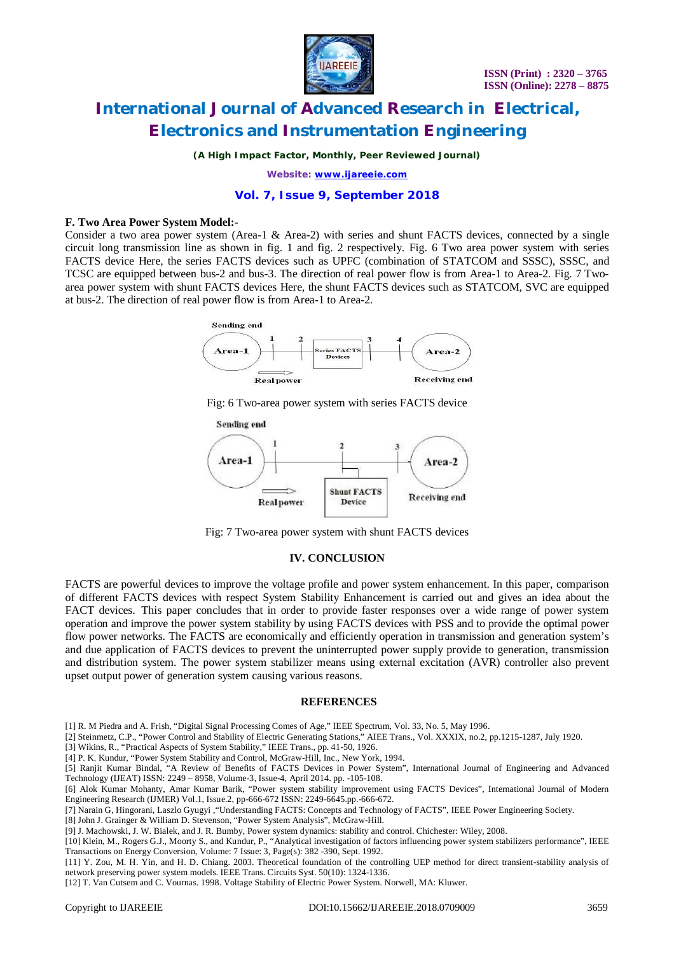

*(A High Impact Factor, Monthly, Peer Reviewed Journal)*

*Website: [www.ijareeie.com](http://www.ijareeie.com)*

### **Vol. 7, Issue 9, September 2018**

#### **F. Two Area Power System Model:-**

Consider a two area power system (Area-1 & Area-2) with series and shunt FACTS devices, connected by a single circuit long transmission line as shown in fig. 1 and fig. 2 respectively. Fig. 6 Two area power system with series FACTS device Here, the series FACTS devices such as UPFC (combination of STATCOM and SSSC), SSSC, and TCSC are equipped between bus-2 and bus-3. The direction of real power flow is from Area-1 to Area-2. Fig. 7 Twoarea power system with shunt FACTS devices Here, the shunt FACTS devices such as STATCOM, SVC are equipped at bus-2. The direction of real power flow is from Area-1 to Area-2.



Fig: 6 Two-area power system with series FACTS device



Fig: 7 Two-area power system with shunt FACTS devices

#### **IV. CONCLUSION**

FACTS are powerful devices to improve the voltage profile and power system enhancement. In this paper, comparison of different FACTS devices with respect System Stability Enhancement is carried out and gives an idea about the FACT devices. This paper concludes that in order to provide faster responses over a wide range of power system operation and improve the power system stability by using FACTS devices with PSS and to provide the optimal power flow power networks. The FACTS are economically and efficiently operation in transmission and generation system's and due application of FACTS devices to prevent the uninterrupted power supply provide to generation, transmission and distribution system. The power system stabilizer means using external excitation (AVR) controller also prevent upset output power of generation system causing various reasons.

#### **REFERENCES**

- [1] R. M Piedra and A. Frish, "Digital Signal Processing Comes of Age," IEEE Spectrum, Vol. 33, No. 5, May 1996.
- [2] Steinmetz, C.P., "Power Control and Stability of Electric Generating Stations," AIEE Trans., Vol. XXXIX, no.2, pp.1215-1287, July 1920.
- [3] Wikins, R., "Practical Aspects of System Stability," IEEE Trans., pp. 41-50, 1926.
- [4] P. K. Kundur, "Power System Stability and Control, McGraw-Hill, Inc., New York, 1994.

[5] Ranjit Kumar Bindal, "A Review of Benefits of FACTS Devices in Power System", International Journal of Engineering and Advanced Technology (IJEAT) ISSN: 2249 – 8958, Volume-3, Issue-4, April 2014. pp. -105-108.

[6] Alok Kumar Mohanty, Amar Kumar Barik, "Power system stability improvement using FACTS Devices", International Journal of Modern Engineering Research (IJMER) Vol.1, Issue.2, pp-666-672 ISSN: 2249-6645.pp.-666-672.

[7] Narain G, Hingorani, Laszlo Gyugyi ,"Understanding FACTS: Concepts and Technology of FACTS", IEEE Power Engineering Society.

[8] John J. Grainger & William D. Stevenson, "Power System Analysis", McGraw-Hill.

[9] J. Machowski, J. W. Bialek, and J. R. Bumby, Power system dynamics: stability and control. Chichester: Wiley, 2008.

[11] Y. Zou, M. H. Yin, and H. D. Chiang. 2003. Theoretical foundation of the controlling UEP method for direct transient-stability analysis of network preserving power system models. IEEE Trans. Circuits Syst. 50(10): 1324-1336.

[12] T. Van Cutsem and C. Vournas. 1998. Voltage Stability of Electric Power System. Norwell, MA: Kluwer.

<sup>[10]</sup> Klein, M., Rogers G.J., Moorty S., and Kundur, P., "Analytical investigation of factors influencing power system stabilizers performance", IEEE Transactions on Energy Conversion, Volume: 7 Issue: 3, Page(s): 382 -390, Sept. 1992.